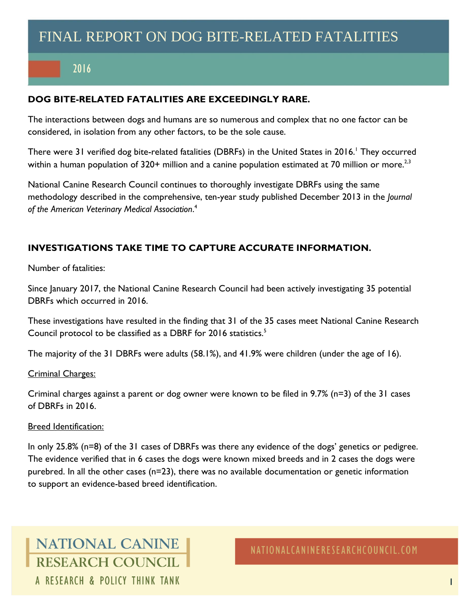# 2016

#### **DOG BITE-RELATED FATALITIES ARE EXCEEDINGLY RARE.**

The interactions between dogs and humans are so numerous and complex that no one factor can be considered, in isolation from any other factors, to be the sole cause.

There were 31 verified dog bite-related fatalities (DBRFs) in the United States in 2016.<sup>1</sup> They occurred within a human population of 320+ million and a canine population estimated at 70 million or more.<sup>2,3</sup>

National Canine Research Council continues to thoroughly investigate DBRFs using the same methodology described in the comprehensive, ten-year study published December 2013 in the *Journal of the American Veterinary Medical Association*. 4

#### **INVESTIGATIONS TAKE TIME TO CAPTURE ACCURATE INFORMATION.**

Number of fatalities:

Since January 2017, the National Canine Research Council had been actively investigating 35 potential DBRFs which occurred in 2016.

These investigations have resulted in the finding that 31 of the 35 cases meet National Canine Research Council protocol to be classified as a DBRF for 2016 statistics.<sup>5</sup>

The majority of the 31 DBRFs were adults (58.1%), and 41.9% were children (under the age of 16).

#### Criminal Charges:

Criminal charges against a parent or dog owner were known to be filed in 9.7% (n=3) of the 31 cases of DBRFs in 2016.

#### Breed Identification:

In only 25.8% (n=8) of the 31 cases of DBRFs was there any evidence of the dogs' genetics or pedigree. The evidence verified that in 6 cases the dogs were known mixed breeds and in 2 cases the dogs were purebred. In all the other cases (n=23), there was no available documentation or genetic information to support an evidence-based breed identification.

**NATIONAL CANINE RESEARCH COUNCIL** A RESEARCH & POLICY THINK TANK

NATIONALCANINERESEARCHCOUNCIL.COM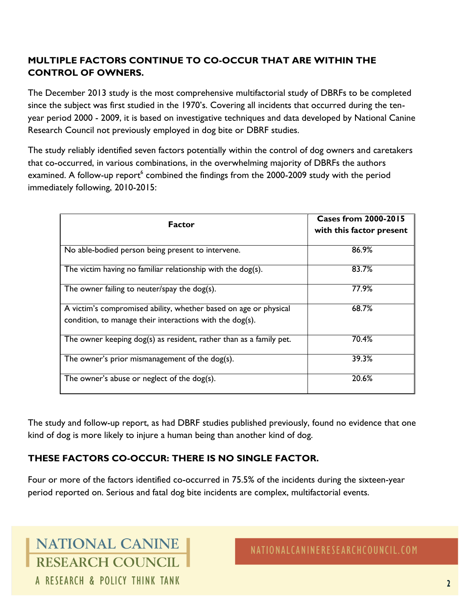### **MULTIPLE FACTORS CONTINUE TO CO-OCCUR THAT ARE WITHIN THE CONTROL OF OWNERS.**

The December 2013 study is the most comprehensive multifactorial study of DBRFs to be completed since the subject was first studied in the 1970's. Covering all incidents that occurred during the tenyear period 2000 - 2009, it is based on investigative techniques and data developed by National Canine Research Council not previously employed in dog bite or DBRF studies.

The study reliably identified seven factors potentially within the control of dog owners and caretakers that co-occurred, in various combinations, in the overwhelming majority of DBRFs the authors examined. A follow-up report<sup>6</sup> combined the findings from the 2000-2009 study with the period immediately following, 2010-2015:

| <b>Factor</b>                                                                                                                | <b>Cases from 2000-2015</b><br>with this factor present |
|------------------------------------------------------------------------------------------------------------------------------|---------------------------------------------------------|
| No able-bodied person being present to intervene.                                                                            | 86.9%                                                   |
| The victim having no familiar relationship with the dog(s).                                                                  | 83.7%                                                   |
| The owner failing to neuter/spay the dog(s).                                                                                 | 77.9%                                                   |
| A victim's compromised ability, whether based on age or physical<br>condition, to manage their interactions with the dog(s). | 68.7%                                                   |
| The owner keeping dog(s) as resident, rather than as a family pet.                                                           | 70.4%                                                   |
| The owner's prior mismanagement of the dog(s).                                                                               | 39.3%                                                   |
| The owner's abuse or neglect of the dog(s).                                                                                  | 20.6%                                                   |

The study and follow-up report, as had DBRF studies published previously, found no evidence that one kind of dog is more likely to injure a human being than another kind of dog.

### **THESE FACTORS CO-OCCUR: THERE IS NO SINGLE FACTOR.**

Four or more of the factors identified co-occurred in 75.5% of the incidents during the sixteen-year period reported on. Serious and fatal dog bite incidents are complex, multifactorial events.

**NATIONAL CANINE RESEARCH COUNCIL** A RESEARCH & POLICY THINK TANK

NATIONALCANINERESEARCHCOUNCIL.COM